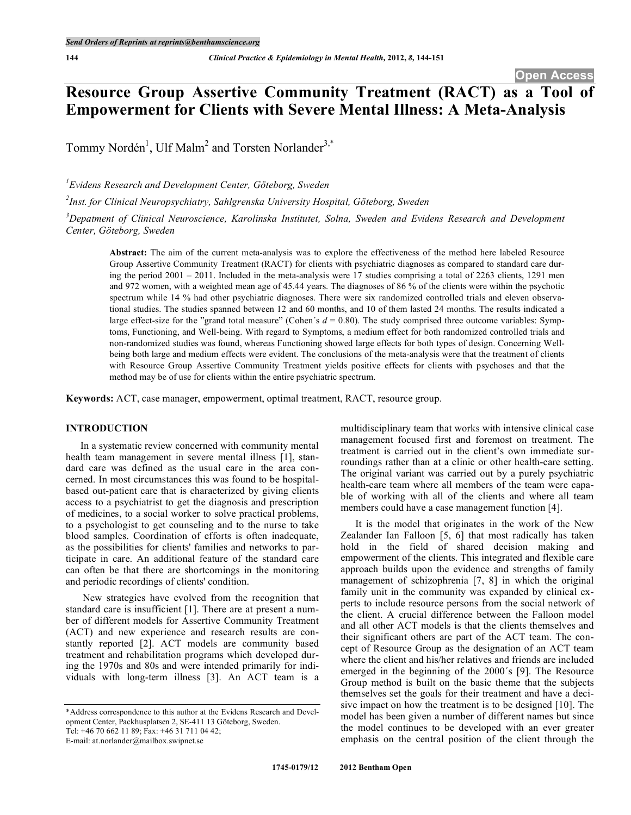# **Resource Group Assertive Community Treatment (RACT) as a Tool of Empowerment for Clients with Severe Mental Illness: A Meta-Analysis**

Tommy Nordén<sup>1</sup>, Ulf Malm<sup>2</sup> and Torsten Norlander<sup>3,\*</sup>

*1 Evidens Research and Development Center, Göteborg, Sweden*

*2 Inst. for Clinical Neuropsychiatry, Sahlgrenska University Hospital, Göteborg, Sweden*

*3 Depatment of Clinical Neuroscience, Karolinska Institutet, Solna, Sweden and Evidens Research and Development Center, Göteborg, Sweden*

**Abstract:** The aim of the current meta-analysis was to explore the effectiveness of the method here labeled Resource Group Assertive Community Treatment (RACT) for clients with psychiatric diagnoses as compared to standard care during the period 2001 – 2011. Included in the meta-analysis were 17 studies comprising a total of 2263 clients, 1291 men and 972 women, with a weighted mean age of 45.44 years. The diagnoses of 86 % of the clients were within the psychotic spectrum while 14 % had other psychiatric diagnoses. There were six randomized controlled trials and eleven observational studies. The studies spanned between 12 and 60 months, and 10 of them lasted 24 months. The results indicated a large effect-size for the "grand total measure" (Cohen's  $d = 0.80$ ). The study comprised three outcome variables: Symptoms, Functioning, and Well-being. With regard to Symptoms, a medium effect for both randomized controlled trials and non-randomized studies was found, whereas Functioning showed large effects for both types of design. Concerning Wellbeing both large and medium effects were evident. The conclusions of the meta-analysis were that the treatment of clients with Resource Group Assertive Community Treatment yields positive effects for clients with psychoses and that the method may be of use for clients within the entire psychiatric spectrum.

**Keywords:** ACT, case manager, empowerment, optimal treatment, RACT, resource group.

# **INTRODUCTION**

In a systematic review concerned with community mental health team management in severe mental illness [1], standard care was defined as the usual care in the area concerned. In most circumstances this was found to be hospitalbased out-patient care that is characterized by giving clients access to a psychiatrist to get the diagnosis and prescription of medicines, to a social worker to solve practical problems, to a psychologist to get counseling and to the nurse to take blood samples. Coordination of efforts is often inadequate, as the possibilities for clients' families and networks to participate in care. An additional feature of the standard care can often be that there are shortcomings in the monitoring and periodic recordings of clients' condition.

New strategies have evolved from the recognition that standard care is insufficient [1]. There are at present a number of different models for Assertive Community Treatment (ACT) and new experience and research results are constantly reported [2]. ACT models are community based treatment and rehabilitation programs which developed during the 1970s and 80s and were intended primarily for individuals with long-term illness [3]. An ACT team is a

E-mail: at.norlander@mailbox.swipnet.se

multidisciplinary team that works with intensive clinical case management focused first and foremost on treatment. The treatment is carried out in the client's own immediate surroundings rather than at a clinic or other health-care setting. The original variant was carried out by a purely psychiatric health-care team where all members of the team were capable of working with all of the clients and where all team members could have a case management function [4].

It is the model that originates in the work of the New Zealander Ian Falloon [5, 6] that most radically has taken hold in the field of shared decision making and empowerment of the clients. This integrated and flexible care approach builds upon the evidence and strengths of family management of schizophrenia [7, 8] in which the original family unit in the community was expanded by clinical experts to include resource persons from the social network of the client. A crucial difference between the Falloon model and all other ACT models is that the clients themselves and their significant others are part of the ACT team. The concept of Resource Group as the designation of an ACT team where the client and his/her relatives and friends are included emerged in the beginning of the 2000´s [9]. The Resource Group method is built on the basic theme that the subjects themselves set the goals for their treatment and have a decisive impact on how the treatment is to be designed [10]. The model has been given a number of different names but since the model continues to be developed with an ever greater emphasis on the central position of the client through the

<sup>\*</sup>Address correspondence to this author at the Evidens Research and Development Center, Packhusplatsen 2, SE-411 13 Göteborg, Sweden. Tel: +46 70 662 11 89; Fax: +46 31 711 04 42;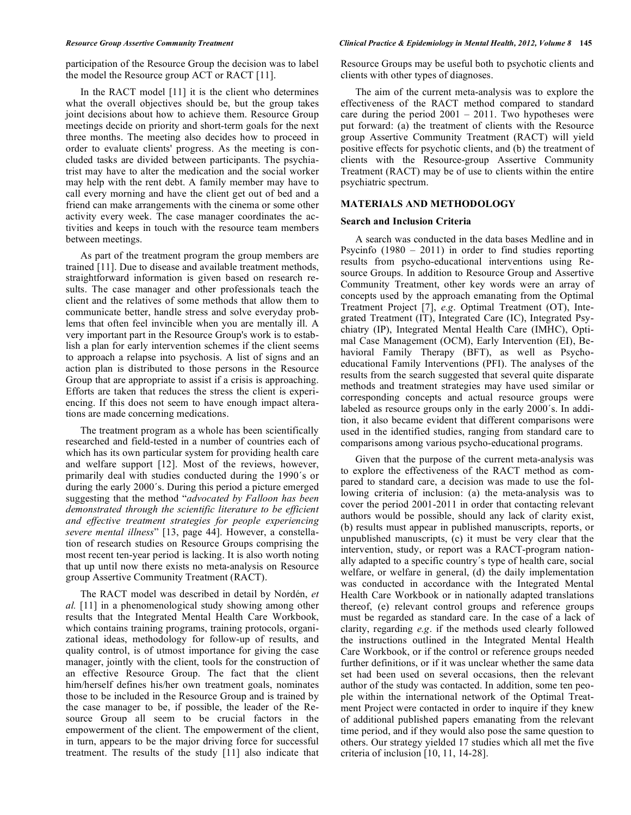participation of the Resource Group the decision was to label the model the Resource group ACT or RACT [11].

In the RACT model [11] it is the client who determines what the overall objectives should be, but the group takes joint decisions about how to achieve them. Resource Group meetings decide on priority and short-term goals for the next three months. The meeting also decides how to proceed in order to evaluate clients' progress. As the meeting is concluded tasks are divided between participants. The psychiatrist may have to alter the medication and the social worker may help with the rent debt. A family member may have to call every morning and have the client get out of bed and a friend can make arrangements with the cinema or some other activity every week. The case manager coordinates the activities and keeps in touch with the resource team members between meetings.

As part of the treatment program the group members are trained [11]. Due to disease and available treatment methods, straightforward information is given based on research results. The case manager and other professionals teach the client and the relatives of some methods that allow them to communicate better, handle stress and solve everyday problems that often feel invincible when you are mentally ill. A very important part in the Resource Group's work is to establish a plan for early intervention schemes if the client seems to approach a relapse into psychosis. A list of signs and an action plan is distributed to those persons in the Resource Group that are appropriate to assist if a crisis is approaching. Efforts are taken that reduces the stress the client is experiencing. If this does not seem to have enough impact alterations are made concerning medications.

The treatment program as a whole has been scientifically researched and field-tested in a number of countries each of which has its own particular system for providing health care and welfare support [12]. Most of the reviews, however, primarily deal with studies conducted during the 1990´s or during the early 2000´s. During this period a picture emerged suggesting that the method "*advocated by Falloon has been demonstrated through the scientific literature to be efficient and effective treatment strategies for people experiencing severe mental illness*" [13, page 44]. However, a constellation of research studies on Resource Groups comprising the most recent ten-year period is lacking. It is also worth noting that up until now there exists no meta-analysis on Resource group Assertive Community Treatment (RACT).

The RACT model was described in detail by Nordén, *et al.* [11] in a phenomenological study showing among other results that the Integrated Mental Health Care Workbook, which contains training programs, training protocols, organizational ideas, methodology for follow-up of results, and quality control, is of utmost importance for giving the case manager, jointly with the client, tools for the construction of an effective Resource Group. The fact that the client him/herself defines his/her own treatment goals, nominates those to be included in the Resource Group and is trained by the case manager to be, if possible, the leader of the Resource Group all seem to be crucial factors in the empowerment of the client. The empowerment of the client, in turn, appears to be the major driving force for successful treatment. The results of the study [11] also indicate that

Resource Groups may be useful both to psychotic clients and clients with other types of diagnoses.

The aim of the current meta-analysis was to explore the effectiveness of the RACT method compared to standard care during the period  $2001 - 2011$ . Two hypotheses were put forward: (a) the treatment of clients with the Resource group Assertive Community Treatment (RACT) will yield positive effects for psychotic clients, and (b) the treatment of clients with the Resource-group Assertive Community Treatment (RACT) may be of use to clients within the entire psychiatric spectrum.

# **MATERIALS AND METHODOLOGY**

### **Search and Inclusion Criteria**

A search was conducted in the data bases Medline and in Psycinfo (1980 – 2011) in order to find studies reporting results from psycho-educational interventions using Resource Groups. In addition to Resource Group and Assertive Community Treatment, other key words were an array of concepts used by the approach emanating from the Optimal Treatment Project [7], *e.g*. Optimal Treatment (OT), Integrated Treatment (IT), Integrated Care (IC), Integrated Psychiatry (IP), Integrated Mental Health Care (IMHC), Optimal Case Management (OCM), Early Intervention (EI), Behavioral Family Therapy (BFT), as well as Psychoeducational Family Interventions (PFI). The analyses of the results from the search suggested that several quite disparate methods and treatment strategies may have used similar or corresponding concepts and actual resource groups were labeled as resource groups only in the early 2000´s. In addition, it also became evident that different comparisons were used in the identified studies, ranging from standard care to comparisons among various psycho-educational programs.

Given that the purpose of the current meta-analysis was to explore the effectiveness of the RACT method as compared to standard care, a decision was made to use the following criteria of inclusion: (a) the meta-analysis was to cover the period 2001-2011 in order that contacting relevant authors would be possible, should any lack of clarity exist, (b) results must appear in published manuscripts, reports, or unpublished manuscripts, (c) it must be very clear that the intervention, study, or report was a RACT-program nationally adapted to a specific country´s type of health care, social welfare, or welfare in general, (d) the daily implementation was conducted in accordance with the Integrated Mental Health Care Workbook or in nationally adapted translations thereof, (e) relevant control groups and reference groups must be regarded as standard care. In the case of a lack of clarity, regarding *e.g*. if the methods used clearly followed the instructions outlined in the Integrated Mental Health Care Workbook, or if the control or reference groups needed further definitions, or if it was unclear whether the same data set had been used on several occasions, then the relevant author of the study was contacted. In addition, some ten people within the international network of the Optimal Treatment Project were contacted in order to inquire if they knew of additional published papers emanating from the relevant time period, and if they would also pose the same question to others. Our strategy yielded 17 studies which all met the five criteria of inclusion [10, 11, 14-28].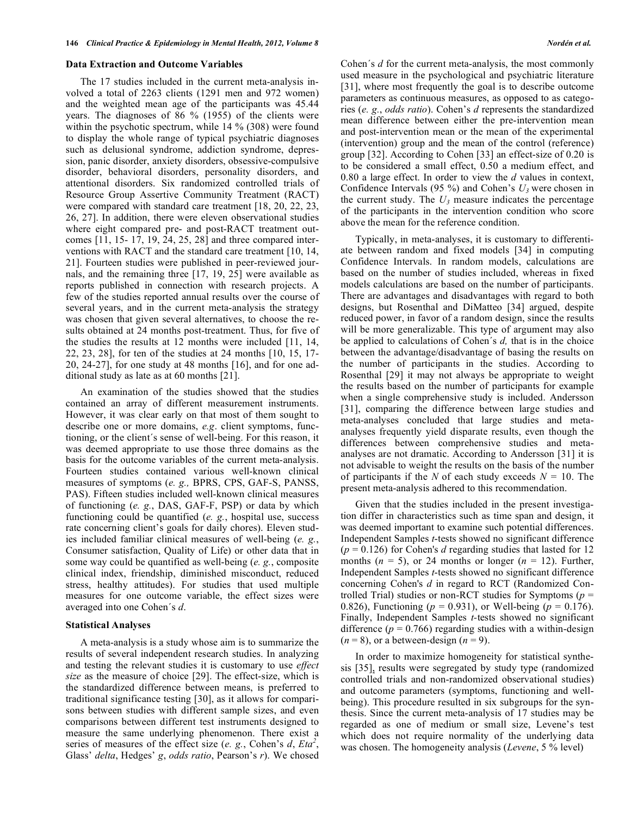### **Data Extraction and Outcome Variables**

The 17 studies included in the current meta-analysis involved a total of 2263 clients (1291 men and 972 women) and the weighted mean age of the participants was 45.44 years. The diagnoses of 86 % (1955) of the clients were within the psychotic spectrum, while 14 % (308) were found to display the whole range of typical psychiatric diagnoses such as delusional syndrome, addiction syndrome, depression, panic disorder, anxiety disorders, obsessive-compulsive disorder, behavioral disorders, personality disorders, and attentional disorders. Six randomized controlled trials of Resource Group Assertive Community Treatment (RACT) were compared with standard care treatment [18, 20, 22, 23, 26, 27]. In addition, there were eleven observational studies where eight compared pre- and post-RACT treatment outcomes [11, 15- 17, 19, 24, 25, 28] and three compared interventions with RACT and the standard care treatment [10, 14, 21]. Fourteen studies were published in peer-reviewed journals, and the remaining three [17, 19, 25] were available as reports published in connection with research projects. A few of the studies reported annual results over the course of several years, and in the current meta-analysis the strategy was chosen that given several alternatives, to choose the results obtained at 24 months post-treatment. Thus, for five of the studies the results at 12 months were included [11, 14, 22, 23, 28], for ten of the studies at 24 months [10, 15, 17- 20, 24-27], for one study at 48 months [16], and for one additional study as late as at 60 months [21].

An examination of the studies showed that the studies contained an array of different measurement instruments. However, it was clear early on that most of them sought to describe one or more domains, *e.g*. client symptoms, functioning, or the client´s sense of well-being. For this reason, it was deemed appropriate to use those three domains as the basis for the outcome variables of the current meta-analysis. Fourteen studies contained various well-known clinical measures of symptoms (*e. g.,* BPRS, CPS, GAF-S, PANSS, PAS). Fifteen studies included well-known clinical measures of functioning (*e. g.*, DAS, GAF-F, PSP) or data by which functioning could be quantified (*e. g.*, hospital use, success rate concerning client's goals for daily chores). Eleven studies included familiar clinical measures of well-being (*e. g.*, Consumer satisfaction, Quality of Life) or other data that in some way could be quantified as well-being (*e. g.*, composite clinical index, friendship, diminished misconduct, reduced stress, healthy attitudes). For studies that used multiple measures for one outcome variable, the effect sizes were averaged into one Cohen´s *d*.

# **Statistical Analyses**

A meta-analysis is a study whose aim is to summarize the results of several independent research studies. In analyzing and testing the relevant studies it is customary to use *effect size* as the measure of choice [29]. The effect-size, which is the standardized difference between means, is preferred to traditional significance testing [30], as it allows for comparisons between studies with different sample sizes, and even comparisons between different test instruments designed to measure the same underlying phenomenon. There exist a series of measures of the effect size (*e. g.*, Cohen's  $d$ , *Eta*<sup>2</sup>, Glass' *delta*, Hedges' *g*, *odds ratio*, Pearson's *r*). We chosed Cohen´s *d* for the current meta-analysis, the most commonly used measure in the psychological and psychiatric literature [31], where most frequently the goal is to describe outcome parameters as continuous measures, as opposed to as categories (*e. g.*, *odds ratio*). Cohen's *d* represents the standardized mean difference between either the pre-intervention mean and post-intervention mean or the mean of the experimental (intervention) group and the mean of the control (reference) group [32]. According to Cohen [33] an effect-size of 0.20 is to be considered a small effect, 0.50 a medium effect, and 0.80 a large effect. In order to view the *d* values in context, Confidence Intervals (95 %) and Cohen's *U3* were chosen in the current study. The  $U_3$  measure indicates the percentage of the participants in the intervention condition who score above the mean for the reference condition.

Typically, in meta-analyses, it is customary to differentiate between random and fixed models [34] in computing Confidence Intervals. In random models, calculations are based on the number of studies included, whereas in fixed models calculations are based on the number of participants. There are advantages and disadvantages with regard to both designs, but Rosenthal and DiMatteo [34] argued, despite reduced power, in favor of a random design, since the results will be more generalizable. This type of argument may also be applied to calculations of Cohen´s *d,* that is in the choice between the advantage/disadvantage of basing the results on the number of participants in the studies. According to Rosenthal [29] it may not always be appropriate to weight the results based on the number of participants for example when a single comprehensive study is included. Andersson [31], comparing the difference between large studies and meta-analyses concluded that large studies and metaanalyses frequently yield disparate results, even though the differences between comprehensive studies and metaanalyses are not dramatic. According to Andersson [31] it is not advisable to weight the results on the basis of the number of participants if the *N* of each study exceeds  $N = 10$ . The present meta-analysis adhered to this recommendation.

Given that the studies included in the present investigation differ in characteristics such as time span and design, it was deemed important to examine such potential differences. Independent Samples *t*-tests showed no significant difference  $(p = 0.126)$  for Cohen's *d* regarding studies that lasted for 12 months  $(n = 5)$ , or 24 months or longer  $(n = 12)$ . Further, Independent Samples *t*-tests showed no significant difference concerning Cohen's *d* in regard to RCT (Randomized Controlled Trial) studies or non-RCT studies for Symptoms (*p* = 0.826), Functioning ( $p = 0.931$ ), or Well-being ( $p = 0.176$ ). Finally, Independent Samples *t-*tests showed no significant difference ( $p = 0.766$ ) regarding studies with a within-design  $(n = 8)$ , or a between-design  $(n = 9)$ .

In order to maximize homogeneity for statistical synthesis [35], results were segregated by study type (randomized controlled trials and non-randomized observational studies) and outcome parameters (symptoms, functioning and wellbeing). This procedure resulted in six subgroups for the synthesis. Since the current meta-analysis of 17 studies may be regarded as one of medium or small size, Levene's test which does not require normality of the underlying data was chosen. The homogeneity analysis (*Levene*, 5 % level)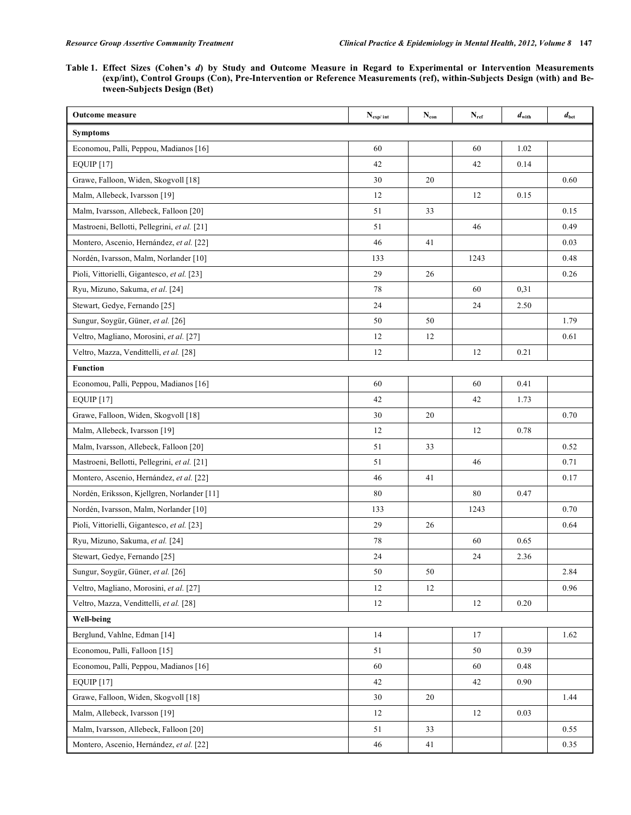Table 1. Effect Sizes (Cohen's d) by Study and Outcome Measure in Regard to Experimental or Intervention Measurements **(exp/int), Control Groups (Con), Pre-Intervention or Reference Measurements (ref), within-Subjects Design (with) and Between-Subjects Design (Bet)**

| <b>Outcome measure</b>                       | $N_{exp/ int}$ | $N_{con}$ | $N_{ref}$ | $d_{\text{with}}$ | $d_{\text{bet}}$ |  |  |
|----------------------------------------------|----------------|-----------|-----------|-------------------|------------------|--|--|
| <b>Symptoms</b>                              |                |           |           |                   |                  |  |  |
| Economou, Palli, Peppou, Madianos [16]       | 60             |           | 60        | 1.02              |                  |  |  |
| <b>EQUIP</b> [17]                            | 42             |           | 42        | 0.14              |                  |  |  |
| Grawe, Falloon, Widen, Skogvoll [18]         | 30             | 20        |           |                   | 0.60             |  |  |
| Malm, Allebeck, Ivarsson [19]                | 12             |           | 12        | 0.15              |                  |  |  |
| Malm, Ivarsson, Allebeck, Falloon [20]       | 51             | 33        |           |                   | 0.15             |  |  |
| Mastroeni, Bellotti, Pellegrini, et al. [21] | 51             |           | 46        |                   | 0.49             |  |  |
| Montero, Ascenio, Hernández, et al. [22]     | 46             | 41        |           |                   | 0.03             |  |  |
| Nordén, Ivarsson, Malm, Norlander [10]       | 133            |           | 1243      |                   | 0.48             |  |  |
| Pioli, Vittorielli, Gigantesco, et al. [23]  | 29             | 26        |           |                   | 0.26             |  |  |
| Ryu, Mizuno, Sakuma, et al. [24]             | 78             |           | 60        | 0,31              |                  |  |  |
| Stewart, Gedye, Fernando [25]                | 24             |           | 24        | 2.50              |                  |  |  |
| Sungur, Soygür, Güner, et al. [26]           | 50             | 50        |           |                   | 1.79             |  |  |
| Veltro, Magliano, Morosini, et al. [27]      | 12             | 12        |           |                   | 0.61             |  |  |
| Veltro, Mazza, Vendittelli, et al. [28]      | 12             |           | 12        | 0.21              |                  |  |  |
| <b>Function</b>                              |                |           |           |                   |                  |  |  |
| Economou, Palli, Peppou, Madianos [16]       | 60             |           | 60        | 0.41              |                  |  |  |
| <b>EQUIP</b> [17]                            | 42             |           | 42        | 1.73              |                  |  |  |
| Grawe, Falloon, Widen, Skogvoll [18]         | 30             | 20        |           |                   | 0.70             |  |  |
| Malm, Allebeck, Ivarsson [19]                | 12             |           | 12        | 0.78              |                  |  |  |
| Malm, Ivarsson, Allebeck, Falloon [20]       | 51             | 33        |           |                   | 0.52             |  |  |
| Mastroeni, Bellotti, Pellegrini, et al. [21] | 51             |           | 46        |                   | 0.71             |  |  |
| Montero, Ascenio, Hernández, et al. [22]     | 46             | 41        |           |                   | 0.17             |  |  |
| Nordén, Eriksson, Kjellgren, Norlander [11]  | 80             |           | 80        | 0.47              |                  |  |  |
| Nordén, Ivarsson, Malm, Norlander [10]       | 133            |           | 1243      |                   | 0.70             |  |  |
| Pioli, Vittorielli, Gigantesco, et al. [23]  | 29             | 26        |           |                   | 0.64             |  |  |
| Ryu, Mizuno, Sakuma, et al. [24]             | 78             |           | 60        | 0.65              |                  |  |  |
| Stewart, Gedye, Fernando [25]                | 24             |           | 24        | 2.36              |                  |  |  |
| Sungur, Soygür, Güner, et al. [26]           | 50             | 50        |           |                   | 2.84             |  |  |
| Veltro, Magliano, Morosini, et al. [27]      | 12             | 12        |           |                   | 0.96             |  |  |
| Veltro, Mazza, Vendittelli, et al. [28]      | 12             |           | 12        | 0.20              |                  |  |  |
| <b>Well-being</b>                            |                |           |           |                   |                  |  |  |
| Berglund, Vahlne, Edman [14]                 | 14             |           | 17        |                   | 1.62             |  |  |
| Economou, Palli, Falloon [15]                | 51             |           | 50        | 0.39              |                  |  |  |
| Economou, Palli, Peppou, Madianos [16]       | 60             |           | 60        | 0.48              |                  |  |  |
| <b>EQUIP</b> [17]                            | 42             |           | 42        | 0.90              |                  |  |  |
| Grawe, Falloon, Widen, Skogvoll [18]         | 30             | 20        |           |                   | 1.44             |  |  |
| Malm, Allebeck, Ivarsson [19]                | 12             |           | 12        | 0.03              |                  |  |  |
| Malm, Ivarsson, Allebeck, Falloon [20]       | 51             | 33        |           |                   | 0.55             |  |  |
| Montero, Ascenio, Hernández, et al. [22]     | 46             | 41        |           |                   | 0.35             |  |  |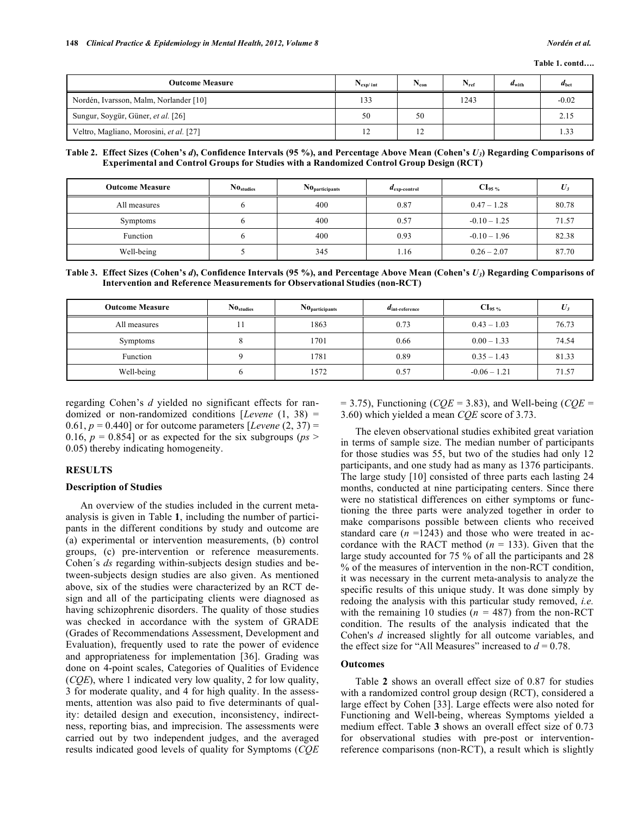**Table 1. contd….**

| <b>Outcome Measure</b>                  | $N_{\rm exp/ int}$ | $N_{\rm con}$ | $N_{ref}$ | $d_{\text{with}}$ | $d_{\text{bet}}$ |
|-----------------------------------------|--------------------|---------------|-----------|-------------------|------------------|
| Nordén, Ivarsson, Malm, Norlander [10]  | 133                |               | 1243      |                   | $-0.02$          |
| Sungur, Soygür, Güner, et al. [26]      | 50                 | 50            |           |                   | 2.15             |
| Veltro, Magliano, Morosini, et al. [27] | 12                 | 12            |           |                   |                  |

Table 2. Effect Sizes (Cohen's d), Confidence Intervals (95 %), and Percentage Above Mean (Cohen's U<sub>3</sub>) Regarding Comparisons of **Experimental and Control Groups for Studies with a Randomized Control Group Design (RCT)**

| <b>Outcome Measure</b> | $\mathbf{No}_{\text{studies}}$ | NO <sub>participants</sub> | $d_{\text{exp-control}}$ | $CI_{95\%}$    | $U_{\rm i}$ |
|------------------------|--------------------------------|----------------------------|--------------------------|----------------|-------------|
| All measures           |                                | 400                        | 0.87                     | $0.47 - 1.28$  | 80.78       |
| Symptoms               |                                | 400                        | 0.57                     | $-0.10 - 1.25$ | 71.57       |
| Function               |                                | 400                        | 0.93                     | $-0.10 - 1.96$ | 82.38       |
| Well-being             |                                | 345                        | 1.16                     | $0.26 - 2.07$  | 87.70       |

Table 3. Effect Sizes (Cohen's d), Confidence Intervals (95 %), and Percentage Above Mean (Cohen's U<sub>3</sub>) Regarding Comparisons of **Intervention and Reference Measurements for Observational Studies (non-RCT)**

| <b>Outcome Measure</b> | $No_{studies}$ | NO <sub>participants</sub> | $d_{\text{int-reference}}$ | $CI_{95\%}$    | $U_3$ |
|------------------------|----------------|----------------------------|----------------------------|----------------|-------|
| All measures           |                | 1863                       | 0.73                       | $0.43 - 1.03$  | 76.73 |
| Symptoms               | $\circ$<br>ð   | 1701                       | 0.66                       | $0.00 - 1.33$  | 74.54 |
| Function               |                | 1781                       | 0.89                       | $0.35 - 1.43$  | 81.33 |
| Well-being             |                | 1572                       | 0.57                       | $-0.06 - 1.21$ | 71.57 |

regarding Cohen's *d* yielded no significant effects for randomized or non-randomized conditions [*Levene* (1, 38) =  $0.61, p = 0.440$  or for outcome parameters [*Levene*  $(2, 37)$  = 0.16,  $p = 0.854$  or as expected for the six subgroups ( $p_s$ ) 0.05) thereby indicating homogeneity.

# **RESULTS**

# **Description of Studies**

An overview of the studies included in the current metaanalysis is given in Table **1**, including the number of participants in the different conditions by study and outcome are (a) experimental or intervention measurements, (b) control groups, (c) pre-intervention or reference measurements. Cohen´s *ds* regarding within-subjects design studies and between-subjects design studies are also given. As mentioned above, six of the studies were characterized by an RCT design and all of the participating clients were diagnosed as having schizophrenic disorders. The quality of those studies was checked in accordance with the system of GRADE (Grades of Recommendations Assessment, Development and Evaluation), frequently used to rate the power of evidence and appropriateness for implementation [36]. Grading was done on 4-point scales, Categories of Qualities of Evidence (*CQE*), where 1 indicated very low quality, 2 for low quality, 3 for moderate quality, and 4 for high quality. In the assessments, attention was also paid to five determinants of quality: detailed design and execution, inconsistency, indirectness, reporting bias, and imprecision. The assessments were carried out by two independent judges, and the averaged results indicated good levels of quality for Symptoms (*CQE*  $=$  3.75), Functioning (*CQE* = 3.83), and Well-being (*CQE* = 3.60) which yielded a mean *CQE* score of 3.73.

The eleven observational studies exhibited great variation in terms of sample size. The median number of participants for those studies was 55, but two of the studies had only 12 participants, and one study had as many as 1376 participants. The large study [10] consisted of three parts each lasting 24 months, conducted at nine participating centers. Since there were no statistical differences on either symptoms or functioning the three parts were analyzed together in order to make comparisons possible between clients who received standard care  $(n = 1243)$  and those who were treated in accordance with the RACT method  $(n = 133)$ . Given that the large study accounted for 75 % of all the participants and 28 % of the measures of intervention in the non-RCT condition, it was necessary in the current meta-analysis to analyze the specific results of this unique study. It was done simply by redoing the analysis with this particular study removed, *i.e.* with the remaining 10 studies ( $n = 487$ ) from the non-RCT condition. The results of the analysis indicated that the Cohen's *d* increased slightly for all outcome variables, and the effect size for "All Measures" increased to  $d = 0.78$ .

#### **Outcomes**

Table **2** shows an overall effect size of 0.87 for studies with a randomized control group design (RCT), considered a large effect by Cohen [33]. Large effects were also noted for Functioning and Well-being, whereas Symptoms yielded a medium effect. Table **3** shows an overall effect size of 0.73 for observational studies with pre-post or interventionreference comparisons (non-RCT), a result which is slightly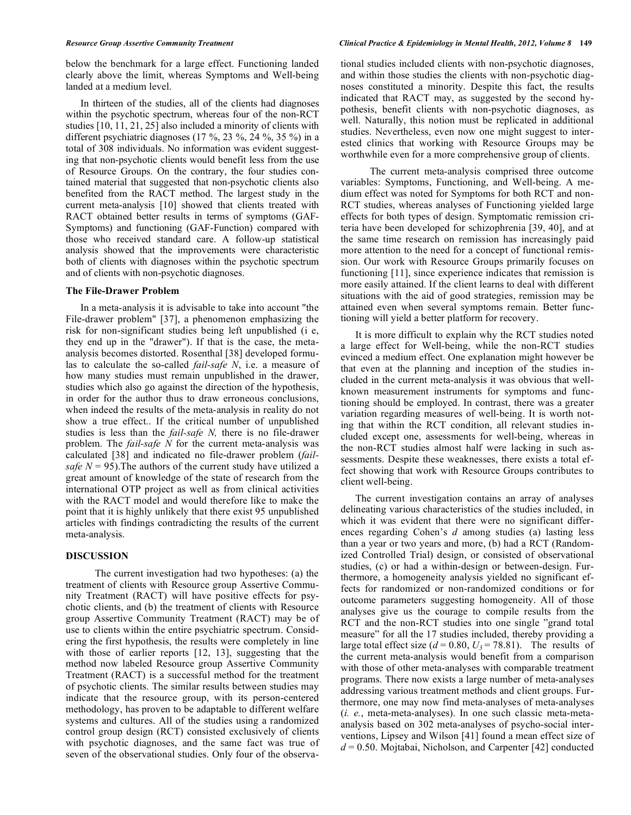below the benchmark for a large effect. Functioning landed clearly above the limit, whereas Symptoms and Well-being landed at a medium level.

In thirteen of the studies, all of the clients had diagnoses within the psychotic spectrum, whereas four of the non-RCT studies [10, 11, 21, 25] also included a minority of clients with different psychiatric diagnoses (17 %, 23 %, 24 %, 35 %) in a total of 308 individuals. No information was evident suggesting that non-psychotic clients would benefit less from the use of Resource Groups. On the contrary, the four studies contained material that suggested that non-psychotic clients also benefited from the RACT method. The largest study in the current meta-analysis [10] showed that clients treated with RACT obtained better results in terms of symptoms (GAF-Symptoms) and functioning (GAF-Function) compared with those who received standard care. A follow-up statistical analysis showed that the improvements were characteristic both of clients with diagnoses within the psychotic spectrum and of clients with non-psychotic diagnoses.

# **The File-Drawer Problem**

In a meta-analysis it is advisable to take into account "the File-drawer problem" [37], a phenomenon emphasizing the risk for non-significant studies being left unpublished (i e, they end up in the "drawer"). If that is the case, the metaanalysis becomes distorted. Rosenthal [38] developed formulas to calculate the so-called *fail-safe N*, i.e. a measure of how many studies must remain unpublished in the drawer, studies which also go against the direction of the hypothesis, in order for the author thus to draw erroneous conclusions, when indeed the results of the meta-analysis in reality do not show a true effect.. If the critical number of unpublished studies is less than the *fail-safe N,* there is no file-drawer problem. The *fail-safe N* for the current meta-analysis was calculated [38] and indicated no file-drawer problem (*failsafe*  $N = 95$ ). The authors of the current study have utilized a great amount of knowledge of the state of research from the international OTP project as well as from clinical activities with the RACT model and would therefore like to make the point that it is highly unlikely that there exist 95 unpublished articles with findings contradicting the results of the current meta-analysis.

### **DISCUSSION**

The current investigation had two hypotheses: (a) the treatment of clients with Resource group Assertive Community Treatment (RACT) will have positive effects for psychotic clients, and (b) the treatment of clients with Resource group Assertive Community Treatment (RACT) may be of use to clients within the entire psychiatric spectrum. Considering the first hypothesis, the results were completely in line with those of earlier reports [12, 13], suggesting that the method now labeled Resource group Assertive Community Treatment (RACT) is a successful method for the treatment of psychotic clients. The similar results between studies may indicate that the resource group, with its person-centered methodology, has proven to be adaptable to different welfare systems and cultures. All of the studies using a randomized control group design (RCT) consisted exclusively of clients with psychotic diagnoses, and the same fact was true of seven of the observational studies. Only four of the observational studies included clients with non-psychotic diagnoses, and within those studies the clients with non-psychotic diagnoses constituted a minority. Despite this fact, the results indicated that RACT may, as suggested by the second hypothesis, benefit clients with non-psychotic diagnoses, as well. Naturally, this notion must be replicated in additional studies. Nevertheless, even now one might suggest to interested clinics that working with Resource Groups may be worthwhile even for a more comprehensive group of clients.

The current meta-analysis comprised three outcome variables: Symptoms, Functioning, and Well-being. A medium effect was noted for Symptoms for both RCT and non-RCT studies, whereas analyses of Functioning yielded large effects for both types of design. Symptomatic remission criteria have been developed for schizophrenia [39, 40], and at the same time research on remission has increasingly paid more attention to the need for a concept of functional remission. Our work with Resource Groups primarily focuses on functioning [11], since experience indicates that remission is more easily attained. If the client learns to deal with different situations with the aid of good strategies, remission may be attained even when several symptoms remain. Better functioning will yield a better platform for recovery.

It is more difficult to explain why the RCT studies noted a large effect for Well-being, while the non-RCT studies evinced a medium effect. One explanation might however be that even at the planning and inception of the studies included in the current meta-analysis it was obvious that wellknown measurement instruments for symptoms and functioning should be employed. In contrast, there was a greater variation regarding measures of well-being. It is worth noting that within the RCT condition, all relevant studies included except one, assessments for well-being, whereas in the non-RCT studies almost half were lacking in such assessments. Despite these weaknesses, there exists a total effect showing that work with Resource Groups contributes to client well-being.

The current investigation contains an array of analyses delineating various characteristics of the studies included, in which it was evident that there were no significant differences regarding Cohen's *d* among studies (a) lasting less than a year or two years and more, (b) had a RCT (Randomized Controlled Trial) design, or consisted of observational studies, (c) or had a within-design or between-design. Furthermore, a homogeneity analysis yielded no significant effects for randomized or non-randomized conditions or for outcome parameters suggesting homogeneity. All of those analyses give us the courage to compile results from the RCT and the non-RCT studies into one single "grand total measure" for all the 17 studies included, thereby providing a large total effect size  $(d = 0.80, U_3 = 78.81)$ . The results of the current meta-analysis would benefit from a comparison with those of other meta-analyses with comparable treatment programs. There now exists a large number of meta-analyses addressing various treatment methods and client groups. Furthermore, one may now find meta-analyses of meta-analyses (*i. e.*, meta-meta-analyses). In one such classic meta-metaanalysis based on 302 meta-analyses of psycho-social interventions, Lipsey and Wilson [41] found a mean effect size of *d* = 0.50. Mojtabai, Nicholson, and Carpenter [42] conducted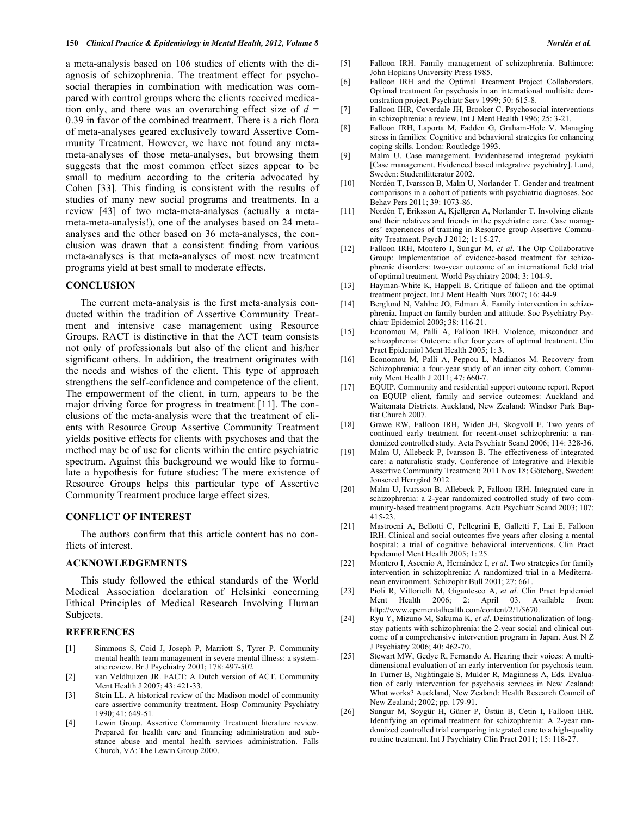a meta-analysis based on 106 studies of clients with the diagnosis of schizophrenia. The treatment effect for psychosocial therapies in combination with medication was compared with control groups where the clients received medication only, and there was an overarching effect size of  $d =$ 0.39 in favor of the combined treatment. There is a rich flora of meta-analyses geared exclusively toward Assertive Community Treatment. However, we have not found any metameta-analyses of those meta-analyses, but browsing them suggests that the most common effect sizes appear to be small to medium according to the criteria advocated by Cohen [33]. This finding is consistent with the results of studies of many new social programs and treatments. In a review [43] of two meta-meta-analyses (actually a metameta-meta-analysis!), one of the analyses based on 24 metaanalyses and the other based on 36 meta-analyses, the conclusion was drawn that a consistent finding from various meta-analyses is that meta-analyses of most new treatment programs yield at best small to moderate effects.

# **CONCLUSION**

The current meta-analysis is the first meta-analysis conducted within the tradition of Assertive Community Treatment and intensive case management using Resource Groups. RACT is distinctive in that the ACT team consists not only of professionals but also of the client and his/her significant others. In addition, the treatment originates with the needs and wishes of the client. This type of approach strengthens the self-confidence and competence of the client. The empowerment of the client, in turn, appears to be the major driving force for progress in treatment [11]. The conclusions of the meta-analysis were that the treatment of clients with Resource Group Assertive Community Treatment yields positive effects for clients with psychoses and that the method may be of use for clients within the entire psychiatric spectrum. Against this background we would like to formulate a hypothesis for future studies: The mere existence of Resource Groups helps this particular type of Assertive Community Treatment produce large effect sizes.

# **CONFLICT OF INTEREST**

The authors confirm that this article content has no conflicts of interest.

### **ACKNOWLEDGEMENTS**

This study followed the ethical standards of the World Medical Association declaration of Helsinki concerning Ethical Principles of Medical Research Involving Human Subjects.

# **REFERENCES**

- [1] Simmons S, Coid J, Joseph P, Marriott S, Tyrer P. Community mental health team management in severe mental illness: a systematic review. Br J Psychiatry 2001; 178: 497-502
- [2] van Veldhuizen JR. FACT: A Dutch version of ACT. Community Ment Health J 2007; 43: 421-33.
- [3] Stein LL. A historical review of the Madison model of community care assertive community treatment. Hosp Community Psychiatry 1990; 41: 649-51.
- [4] Lewin Group. Assertive Community Treatment literature review. Prepared for health care and financing administration and substance abuse and mental health services administration. Falls Church, VA: The Lewin Group 2000.
- [5] Falloon IRH. Family management of schizophrenia. Baltimore: John Hopkins University Press 1985.
- [6] Falloon IRH and the Optimal Treatment Project Collaborators. Optimal treatment for psychosis in an international multisite demonstration project. Psychiatr Serv 1999; 50: 615-8.
- [7] Falloon IHR, Coverdale JH, Brooker C. Psychosocial interventions in schizophrenia: a review. Int J Ment Health 1996; 25: 3-21.
- [8] Falloon IRH, Laporta M, Fadden G, Graham-Hole V. Managing stress in families: Cognitive and behavioral strategies for enhancing coping skills. London: Routledge 1993.
- [9] Malm U. Case management. Evidenbaserad integrerad psykiatri [Case management. Evidenced based integrative psychiatry]. Lund, Sweden: Studentlitteratur 2002.
- [10] Nordén T, Ivarsson B, Malm U, Norlander T. Gender and treatment comparisons in a cohort of patients with psychiatric diagnoses. Soc Behav Pers 2011; 39: 1073-86.
- [11] Nordén T, Eriksson A, Kjellgren A, Norlander T. Involving clients and their relatives and friends in the psychiatric care. Case managers' experiences of training in Resource group Assertive Community Treatment. Psych J 2012; 1: 15-27.
- [12] Falloon IRH, Montero I, Sungur M, *et al*. The Otp Collaborative Group: Implementation of evidence-based treatment for schizophrenic disorders: two-year outcome of an international field trial of optimal treatment. World Psychiatry 2004; 3: 104-9.
- [13] Hayman-White K, Happell B. Critique of falloon and the optimal treatment project. Int J Ment Health Nurs 2007; 16: 44-9.
- [14] Berglund N, Vahlne JO, Edman Å. Family intervention in schizophrenia. Impact on family burden and attitude. Soc Psychiatry Psychiatr Epidemiol 2003; 38: 116-21.
- [15] Economou M, Palli A, Falloon IRH. Violence, misconduct and schizophrenia: Outcome after four years of optimal treatment. Clin Pract Epidemiol Ment Health 2005; 1: 3.
- [16] Economou M, Palli A, Peppou L, Madianos M. Recovery from Schizophrenia: a four-year study of an inner city cohort. Community Ment Health J 2011; 47: 660-7.
- [17] EQUIP. Community and residential support outcome report. Report on EQUIP client, family and service outcomes: Auckland and Waitemata Districts. Auckland, New Zealand: Windsor Park Baptist Church 2007.
- [18] Grawe RW, Falloon IRH, Widen JH, Skogvoll E. Two years of continued early treatment for recent-onset schizophrenia: a randomized controlled study. Acta Psychiatr Scand 2006; 114: 328-36.
- [19] Malm U, Allebeck P, Ivarsson B. The effectiveness of integrated care: a naturalistic study. Conference of Integrative and Flexible Assertive Community Treatment; 2011 Nov 18; Göteborg, Sweden: Jonsered Herrgård 2012.
- [20] Malm U, Ivarsson B, Allebeck P, Falloon IRH. Integrated care in schizophrenia: a 2-year randomized controlled study of two community-based treatment programs. Acta Psychiatr Scand 2003; 107: 415-23.
- [21] Mastroeni A, Bellotti C, Pellegrini E, Galletti F, Lai E, Falloon IRH. Clinical and social outcomes five years after closing a mental hospital: a trial of cognitive behavioral interventions. Clin Pract Epidemiol Ment Health 2005; 1: 25.
- [22] Montero I, Ascenio A, Hernández I, *et al*. Two strategies for family intervention in schizophrenia: A randomized trial in a Mediterranean environment. Schizophr Bull 2001; 27: 661.
- [23] Pioli R, Vittorielli M, Gigantesco A, *et al*. Clin Pract Epidemiol Ment Health 2006; 2: April 03. Available from: http://www.cpementalhealth.com/content/2/1/5670.
- [24] Ryu Y, Mizuno M, Sakuma K, *et al*. Deinstitutionalization of longstay patients with schizophrenia: the 2-year social and clinical outcome of a comprehensive intervention program in Japan. Aust N Z J Psychiatry 2006; 40: 462-70.
- [25] Stewart MW, Gedye R, Fernando A. Hearing their voices: A multidimensional evaluation of an early intervention for psychosis team. In Turner B, Nightingale S, Mulder R, Maginness A, Eds. Evaluation of early intervention for psychosis services in New Zealand: What works? Auckland, New Zealand: Health Research Council of New Zealand; 2002; pp. 179-91.
- [26] Sungur M, Soygür H, Güner P, Üstün B, Cetin I, Falloon IHR. Identifying an optimal treatment for schizophrenia: A 2-year randomized controlled trial comparing integrated care to a high-quality routine treatment. Int J Psychiatry Clin Pract 2011; 15: 118-27.